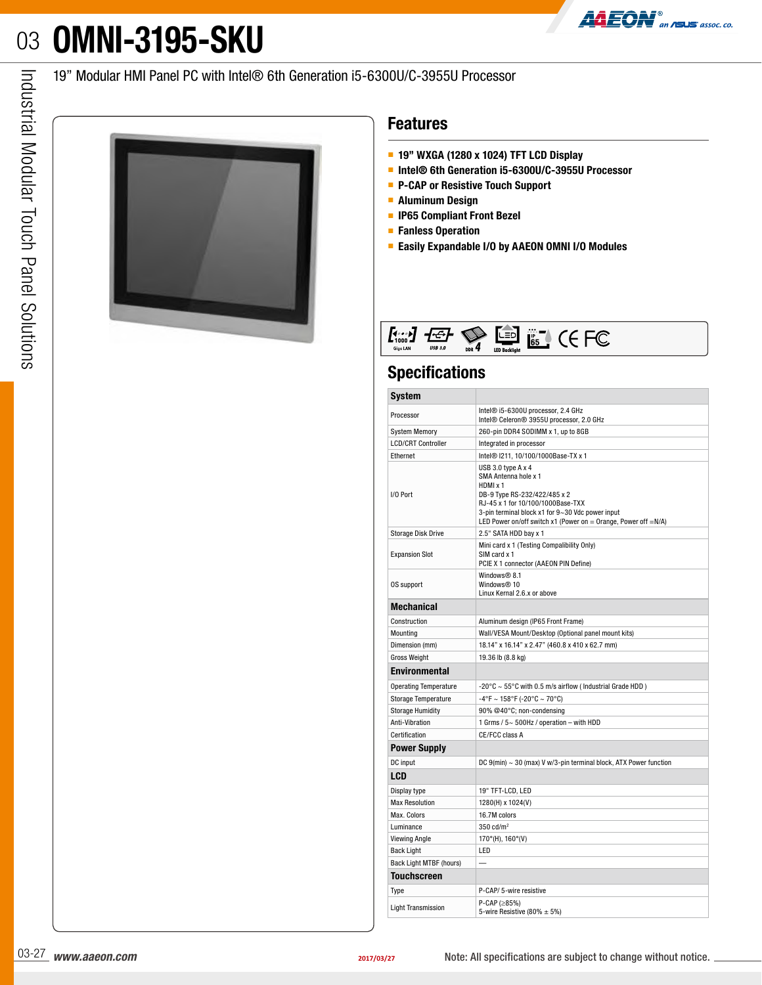# 03 **OMNI-3195-SKU**



#### 19" Modular HMI Panel PC with Intel® 6th Generation i5-6300U/C-3955U Processor



#### **Features**

- **19" WXGA (1280 x 1024) TFT LCD Display**
- **Intel® 6th Generation i5-6300U/C-3955U Processor**
- **P-CAP or Resistive Touch Support**
- **Aluminum Design**
- **IP65 Compliant Front Bezel**
- **Fanless Operation**
- **Easily Expandable I/O by AAEON OMNI I/O Modules**

| Giga LAN | <b>USB 3.0</b> | $_{\text{DDR}}$ 4 | <b>LED Backlight</b> | <br>- 10<br>65 |  | ∽ |
|----------|----------------|-------------------|----------------------|----------------|--|---|
|----------|----------------|-------------------|----------------------|----------------|--|---|

### **Specifications**

| <b>Features</b>                                                                                                                                                                                                                                                                                           |                                                                                                                                                                                                                                                                                                                                                                                     |  |  |  |  |  |
|-----------------------------------------------------------------------------------------------------------------------------------------------------------------------------------------------------------------------------------------------------------------------------------------------------------|-------------------------------------------------------------------------------------------------------------------------------------------------------------------------------------------------------------------------------------------------------------------------------------------------------------------------------------------------------------------------------------|--|--|--|--|--|
| $\blacksquare$ 19" WXGA (1280 x 1024) TFT LCD Display<br>Intel <sup>®</sup> 6th Generation i5-6300U/C-3955U Processor<br>P-CAP or Resistive Touch Support<br><b>Aluminum Design</b><br><b>IP65 Compliant Front Bezel</b><br>■ Fanless Operation<br><b>Easily Expandable I/O by AAEON OMNI I/O Modules</b> |                                                                                                                                                                                                                                                                                                                                                                                     |  |  |  |  |  |
|                                                                                                                                                                                                                                                                                                           | $E_{\text{1010}}^{\text{1011}} \qquad E_{\text{1011}}^{\text{1012}} \qquad E_{\text{1011}}^{\text{1013}} \qquad E_{\text{1011}}^{\text{1011}} \qquad E_{\text{1011}}^{\text{1011}} \qquad E_{\text{1011}}^{\text{1011}} \qquad E_{\text{1011}}^{\text{1011}} \qquad E_{\text{1011}}^{\text{1011}} \qquad E_{\text{1011}}^{\text{1011}} \qquad E_{\text{1011}}^{\text{1011}} \qquad$ |  |  |  |  |  |
| <b>Specifications</b>                                                                                                                                                                                                                                                                                     |                                                                                                                                                                                                                                                                                                                                                                                     |  |  |  |  |  |
| <b>System</b>                                                                                                                                                                                                                                                                                             |                                                                                                                                                                                                                                                                                                                                                                                     |  |  |  |  |  |
| Processor                                                                                                                                                                                                                                                                                                 | Intel® i5-6300U processor, 2.4 GHz<br>Intel® Celeron® 3955U processor, 2.0 GHz                                                                                                                                                                                                                                                                                                      |  |  |  |  |  |
| System Memory                                                                                                                                                                                                                                                                                             | 260-pin DDR4 SODIMM x 1, up to 8GB                                                                                                                                                                                                                                                                                                                                                  |  |  |  |  |  |
| <b>LCD/CRT Controller</b>                                                                                                                                                                                                                                                                                 | Integrated in processor                                                                                                                                                                                                                                                                                                                                                             |  |  |  |  |  |
| Ethernet                                                                                                                                                                                                                                                                                                  | Intel® I211, 10/100/1000Base-TX x 1                                                                                                                                                                                                                                                                                                                                                 |  |  |  |  |  |
|                                                                                                                                                                                                                                                                                                           | USB 3.0 type A x 4<br>SMA Antenna hole x 1<br>HDMI x 1                                                                                                                                                                                                                                                                                                                              |  |  |  |  |  |
| I/O Port                                                                                                                                                                                                                                                                                                  | DB-9 Type RS-232/422/485 x 2<br>RJ-45 x 1 for 10/100/1000Base-TXX<br>3-pin terminal block x1 for 9~30 Vdc power input                                                                                                                                                                                                                                                               |  |  |  |  |  |
| Storage Disk Drive                                                                                                                                                                                                                                                                                        | LED Power on/off switch x1 (Power on = Orange, Power off = $N/A$ )<br>$\vert$ 2.5" SATA HDD bay x 1                                                                                                                                                                                                                                                                                 |  |  |  |  |  |
|                                                                                                                                                                                                                                                                                                           | Mini card x 1 (Testing Compalibility Only)                                                                                                                                                                                                                                                                                                                                          |  |  |  |  |  |
| <b>Expansion Slot</b>                                                                                                                                                                                                                                                                                     | SIM card x 1<br>PCIE X 1 connector (AAEON PIN Define)                                                                                                                                                                                                                                                                                                                               |  |  |  |  |  |
|                                                                                                                                                                                                                                                                                                           | Windows <sup>®</sup> 8.1                                                                                                                                                                                                                                                                                                                                                            |  |  |  |  |  |
| OS support                                                                                                                                                                                                                                                                                                | Windows <sup>®</sup> 10<br>Linux Kernal 2.6.x or above                                                                                                                                                                                                                                                                                                                              |  |  |  |  |  |
| Mechanical                                                                                                                                                                                                                                                                                                |                                                                                                                                                                                                                                                                                                                                                                                     |  |  |  |  |  |
| Construction                                                                                                                                                                                                                                                                                              | Aluminum design (IP65 Front Frame)                                                                                                                                                                                                                                                                                                                                                  |  |  |  |  |  |
| Mounting                                                                                                                                                                                                                                                                                                  | Wall/VESA Mount/Desktop (Optional panel mount kits)                                                                                                                                                                                                                                                                                                                                 |  |  |  |  |  |
| Dimension (mm)                                                                                                                                                                                                                                                                                            | 18.14" x 16.14" x 2.47" (460.8 x 410 x 62.7 mm)                                                                                                                                                                                                                                                                                                                                     |  |  |  |  |  |
| <b>Gross Weight</b>                                                                                                                                                                                                                                                                                       | 19.36 lb (8.8 kg)                                                                                                                                                                                                                                                                                                                                                                   |  |  |  |  |  |
| Environmental                                                                                                                                                                                                                                                                                             |                                                                                                                                                                                                                                                                                                                                                                                     |  |  |  |  |  |
| Operating Temperature<br>Storage Temperature                                                                                                                                                                                                                                                              | -20°C ~ 55°C with 0.5 m/s airflow (Industrial Grade HDD)<br>$-4^{\circ}$ F ~ 158°F (-20°C ~ 70°C)                                                                                                                                                                                                                                                                                   |  |  |  |  |  |
| Storage Humidity                                                                                                                                                                                                                                                                                          | 90% @40°C; non-condensing                                                                                                                                                                                                                                                                                                                                                           |  |  |  |  |  |
| Anti-Vibration                                                                                                                                                                                                                                                                                            | 1 Grms / $5 - 500$ Hz / operation - with HDD                                                                                                                                                                                                                                                                                                                                        |  |  |  |  |  |
| Certification                                                                                                                                                                                                                                                                                             | CE/FCC class A                                                                                                                                                                                                                                                                                                                                                                      |  |  |  |  |  |
| <b>Power Supply</b>                                                                                                                                                                                                                                                                                       |                                                                                                                                                                                                                                                                                                                                                                                     |  |  |  |  |  |
| DC input                                                                                                                                                                                                                                                                                                  | DC 9(min) ~ 30 (max) V w/3-pin terminal block, ATX Power function                                                                                                                                                                                                                                                                                                                   |  |  |  |  |  |
| <b>LCD</b>                                                                                                                                                                                                                                                                                                |                                                                                                                                                                                                                                                                                                                                                                                     |  |  |  |  |  |
| Display type<br><b>Max Resolution</b>                                                                                                                                                                                                                                                                     | 19" TFT-LCD, LED<br>1280(H) x 1024(V)                                                                                                                                                                                                                                                                                                                                               |  |  |  |  |  |
| Max. Colors                                                                                                                                                                                                                                                                                               | 16.7M colors                                                                                                                                                                                                                                                                                                                                                                        |  |  |  |  |  |
| Luminance                                                                                                                                                                                                                                                                                                 | 350 cd/ $m2$                                                                                                                                                                                                                                                                                                                                                                        |  |  |  |  |  |
| Viewing Angle                                                                                                                                                                                                                                                                                             | $170^{\circ}$ (H), 160°(V)                                                                                                                                                                                                                                                                                                                                                          |  |  |  |  |  |
| <b>Back Light</b><br>Back Light MTBF (hours)                                                                                                                                                                                                                                                              | LED<br>$\overline{a}$                                                                                                                                                                                                                                                                                                                                                               |  |  |  |  |  |
| <b>Touchscreen</b>                                                                                                                                                                                                                                                                                        |                                                                                                                                                                                                                                                                                                                                                                                     |  |  |  |  |  |
| Type                                                                                                                                                                                                                                                                                                      | P-CAP/ 5-wire resistive                                                                                                                                                                                                                                                                                                                                                             |  |  |  |  |  |
| <b>Light Transmission</b>                                                                                                                                                                                                                                                                                 | $P-CAP$ ( $\geq$ 85%)                                                                                                                                                                                                                                                                                                                                                               |  |  |  |  |  |
|                                                                                                                                                                                                                                                                                                           | 5-wire Resistive (80% $\pm$ 5%)                                                                                                                                                                                                                                                                                                                                                     |  |  |  |  |  |